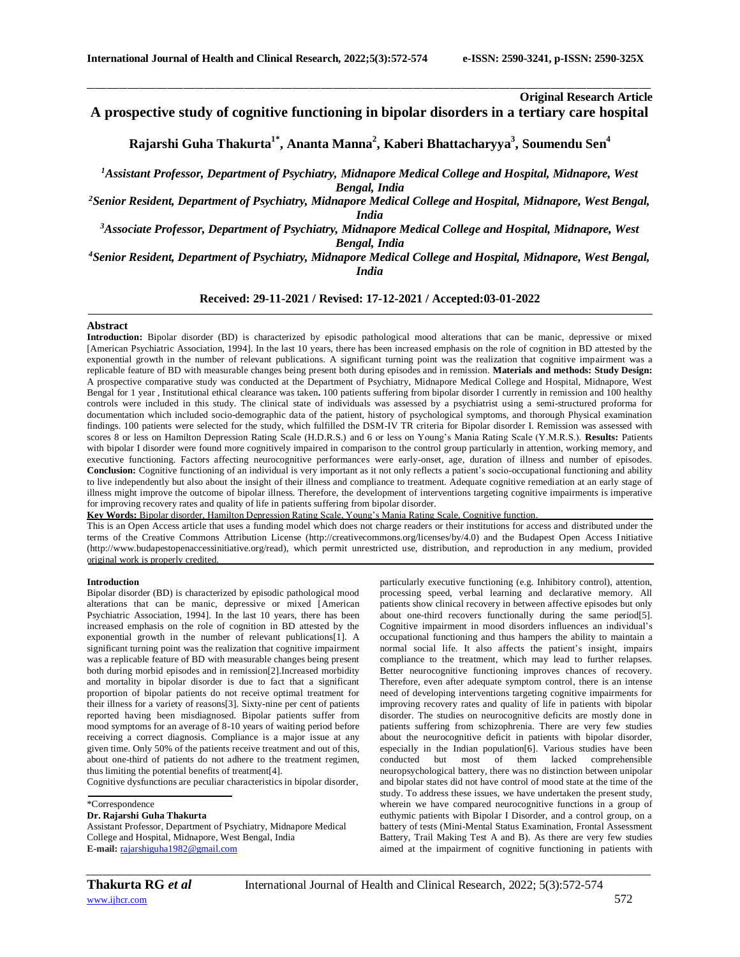**Original Research Article**

# **A prospective study of cognitive functioning in bipolar disorders in a tertiary care hospital**

\_\_\_\_\_\_\_\_\_\_\_\_\_\_\_\_\_\_\_\_\_\_\_\_\_\_\_\_\_\_\_\_\_\_\_\_\_\_\_\_\_\_\_\_\_\_\_\_\_\_\_\_\_\_\_\_\_\_\_\_\_\_\_\_\_\_\_\_\_\_\_\_\_\_\_\_\_\_\_\_\_\_\_\_\_\_\_\_\_\_\_\_\_\_\_\_\_\_\_\_\_\_\_\_\_\_\_\_\_\_\_\_\_\_\_\_\_\_\_\_\_\_\_\_\_\_\_\_\_\_\_\_\_\_\_\_\_\_\_\_

**Rajarshi Guha Thakurta1\* , Ananta Manna<sup>2</sup> , Kaberi Bhattacharyya<sup>3</sup> , Soumendu Sen<sup>4</sup>**

*<sup>1</sup>Assistant Professor, Department of Psychiatry, Midnapore Medical College and Hospital, Midnapore, West Bengal, India*

*<sup>2</sup>Senior Resident, Department of Psychiatry, Midnapore Medical College and Hospital, Midnapore, West Bengal, India*

*<sup>3</sup>Associate Professor, Department of Psychiatry, Midnapore Medical College and Hospital, Midnapore, West Bengal, India*

*<sup>4</sup>Senior Resident, Department of Psychiatry, Midnapore Medical College and Hospital, Midnapore, West Bengal, India*

## **Received: 29-11-2021 / Revised: 17-12-2021 / Accepted:03-01-2022**

## **Abstract**

**Introduction:** Bipolar disorder (BD) is characterized by episodic pathological mood alterations that can be manic, depressive or mixed [\[American Psychiatric Association, 1994\]](https://www.ncbi.nlm.nih.gov/pmc/articles/PMC3513860/#bibr1-2040622310374678). In the last 10 years, there has been increased emphasis on the role of cognition in BD attested by the exponential growth in the number of relevant publications. A significant turning point was the realization that cognitive impairment was a replicable feature of BD with measurable changes being present both during episodes and in remission. **Materials and methods: Study Design:**  A prospective comparative study was conducted at the Department of Psychiatry, Midnapore Medical College and Hospital, Midnapore, West Bengal for 1 year , Institutional ethical clearance was taken**.** 100 patients suffering from bipolar disorder I currently in remission and 100 healthy controls were included in this study. The clinical state of individuals was assessed by a psychiatrist using a semi-structured proforma for documentation which included socio-demographic data of the patient, history of psychological symptoms, and thorough Physical examination findings. 100 patients were selected for the study, which fulfilled the DSM-IV TR criteria for Bipolar disorder I. Remission was assessed with scores 8 or less on Hamilton Depression Rating Scale (H.D.R.S.) and 6 or less on Young's Mania Rating Scale (Y.M.R.S.). **Results:** Patients with bipolar I disorder were found more cognitively impaired in comparison to the control group particularly in attention, working memory, and executive functioning. Factors affecting neurocognitive performances were early-onset, age, duration of illness and number of episodes. **Conclusion:** Cognitive functioning of an individual is very important as it not only reflects a patient's socio-occupational functioning and ability to live independently but also about the insight of their illness and compliance to treatment. Adequate cognitive remediation at an early stage of illness might improve the outcome of bipolar illness. Therefore, the development of interventions targeting cognitive impairments is imperative for improving recovery rates and quality of life in patients suffering from bipolar disorder.

**Key Words:** Bipolar disorder, Hamilton Depression Rating Scale, Young's Mania Rating Scale, Cognitive function.

This is an Open Access article that uses a funding model which does not charge readers or their institutions for access and distributed under the terms of the Creative Commons Attribution License (http://creativecommons.org/licenses/by/4.0) and the Budapest Open Access Initiative (http://www.budapestopenaccessinitiative.org/read), which permit unrestricted use, distribution, and reproduction in any medium, provided original work is properly credited.

#### **Introduction**

Bipolar disorder (BD) is characterized by episodic pathological mood alterations that can be manic, depressive or mixed [\[American](https://www.ncbi.nlm.nih.gov/pmc/articles/PMC3513860/#bibr1-2040622310374678)  [Psychiatric Association, 1994\]](https://www.ncbi.nlm.nih.gov/pmc/articles/PMC3513860/#bibr1-2040622310374678). In the last 10 years, there has been increased emphasis on the role of cognition in BD attested by the exponential growth in the number of relevant publications[1]. A significant turning point was the realization that cognitive impairment was a replicable feature of BD with measurable changes being present both during morbid episodes and in remission[2].Increased morbidity and mortality in bipolar disorder is due to fact that a significant proportion of bipolar patients do not receive optimal treatment for their illness for a variety of reasons[3]. Sixty-nine per cent of patients reported having been misdiagnosed. Bipolar patients suffer from mood symptoms for an average of 8-10 years of waiting period before receiving a correct diagnosis. Compliance is a major issue at any given time. Only 50% of the patients receive treatment and out of this, about one-third of patients do not adhere to the treatment regimen, thus limiting the potential benefits of treatment[4].

Cognitive dysfunctions are peculiar characteristics in bipolar disorder,

\*Correspondence

**E-mail:** [rajarshiguha1982@gmail.com](mailto:rajarshiguha1982@gmail.com)

particularly executive functioning (e.g. Inhibitory control), attention, processing speed, verbal learning and declarative memory. All patients show clinical recovery in between affective episodes but only about one-third recovers functionally during the same period[5]. Cognitive impairment in mood disorders influences an individual's occupational functioning and thus hampers the ability to maintain a normal social life. It also affects the patient's insight, impairs compliance to the treatment, which may lead to further relapses. Better neurocognitive functioning improves chances of recovery. Therefore, even after adequate symptom control, there is an intense need of developing interventions targeting cognitive impairments for improving recovery rates and quality of life in patients with bipolar disorder. The studies on neurocognitive deficits are mostly done in patients suffering from schizophrenia. There are very few studies about the neurocognitive deficit in patients with bipolar disorder, especially in the Indian population[6]. Various studies have been conducted but most of them lacked comprehensible neuropsychological battery, there was no distinction between unipolar and bipolar states did not have control of mood state at the time of the study. To address these issues, we have undertaken the present study, wherein we have compared neurocognitive functions in a group of euthymic patients with Bipolar I Disorder, and a control group, on a battery of tests (Mini-Mental Status Examination, Frontal Assessment Battery, Trail Making Test A and B). As there are very few studies aimed at the impairment of cognitive functioning in patients with

*\_\_\_\_\_\_\_\_\_\_\_\_\_\_\_\_\_\_\_\_\_\_\_\_\_\_\_\_\_\_\_\_\_\_\_\_\_\_\_\_\_\_\_\_\_\_\_\_\_\_\_\_\_\_\_\_\_\_\_\_\_\_\_\_\_\_\_\_\_\_\_\_\_\_\_\_\_\_\_\_\_\_\_\_\_\_\_\_\_\_\_\_\_\_\_\_\_\_\_\_\_\_\_\_\_\_\_\_\_\_\_\_\_\_\_\_\_\_\_\_\_\_\_\_\_\_\_\_\_\_\_\_\_\_\_\_\_\_\_\_*

**Dr. Rajarshi Guha Thakurta** Assistant Professor, Department of Psychiatry, Midnapore Medical College and Hospital, Midnapore, West Bengal, India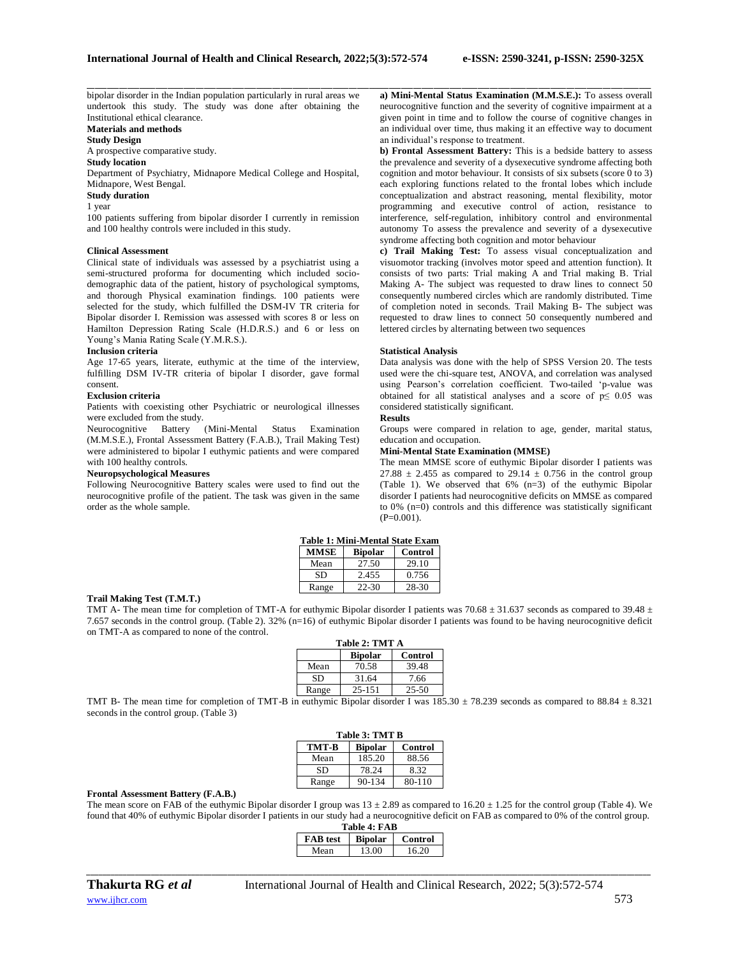bipolar disorder in the Indian population particularly in rural areas we undertook this study. The study was done after obtaining the Institutional ethical clearance.

**Materials and methods**

### **Study Design**

A prospective comparative study.

### **Study location**

Department of Psychiatry, Midnapore Medical College and Hospital, Midnapore, West Bengal.

### **Study duration**

1 year

100 patients suffering from bipolar disorder I currently in remission and 100 healthy controls were included in this study.

#### **Clinical Assessment**

Clinical state of individuals was assessed by a psychiatrist using a semi-structured proforma for documenting which included sociodemographic data of the patient, history of psychological symptoms, and thorough Physical examination findings. 100 patients were selected for the study, which fulfilled the DSM-IV TR criteria for Bipolar disorder I. Remission was assessed with scores 8 or less on Hamilton Depression Rating Scale (H.D.R.S.) and 6 or less on Young's Mania Rating Scale (Y.M.R.S.).

### **Inclusion criteria**

Age 17-65 years, literate, euthymic at the time of the interview, fulfilling DSM IV-TR criteria of bipolar I disorder, gave formal consent.

### **Exclusion criteria**

Patients with coexisting other Psychiatric or neurological illnesses were excluded from the study.

Neurocognitive Battery (Mini-Mental Status Examination (M.M.S.E.), Frontal Assessment Battery (F.A.B.), Trail Making Test) were administered to bipolar I euthymic patients and were compared with 100 healthy controls.

### **Neuropsychological Measures**

Following Neurocognitive Battery scales were used to find out the neurocognitive profile of the patient. The task was given in the same order as the whole sample.

\_\_\_\_\_\_\_\_\_\_\_\_\_\_\_\_\_\_\_\_\_\_\_\_\_\_\_\_\_\_\_\_\_\_\_\_\_\_\_\_\_\_\_\_\_\_\_\_\_\_\_\_\_\_\_\_\_\_\_\_\_\_\_\_\_\_\_\_\_\_\_\_\_\_\_\_\_\_\_\_\_\_\_\_\_\_\_\_\_\_\_\_\_\_\_\_\_\_\_\_\_\_\_\_\_\_\_\_\_\_\_\_\_\_\_\_\_\_\_\_\_\_\_\_\_\_\_\_\_\_\_\_\_\_\_\_\_\_\_\_ **a) Mini-Mental Status Examination (M.M.S.E.):** To assess overall neurocognitive function and the severity of cognitive impairment at a given point in time and to follow the course of cognitive changes in an individual over time, thus making it an effective way to document an individual's response to treatment.

**b) Frontal Assessment Battery:** This is a bedside battery to assess the prevalence and severity of a dysexecutive syndrome affecting both cognition and motor behaviour. It consists of six subsets (score  $0$  to 3) each exploring functions related to the frontal lobes which include conceptualization and abstract reasoning, mental flexibility, motor programming and executive control of action, resistance to interference, self-regulation, inhibitory control and environmental autonomy To assess the prevalence and severity of a dysexecutive syndrome affecting both cognition and motor behaviour

**c) Trail Making Test:** To assess visual conceptualization and visuomotor tracking (involves motor speed and attention function). It consists of two parts: Trial making A and Trial making B. Trial Making A- The subject was requested to draw lines to connect 50 consequently numbered circles which are randomly distributed. Time of completion noted in seconds. Trail Making B- The subject was requested to draw lines to connect 50 consequently numbered and lettered circles by alternating between two sequences

### **Statistical Analysis**

Data analysis was done with the help of SPSS Version 20. The tests used were the chi-square test, ANOVA, and correlation was analysed using Pearson's correlation coefficient. Two-tailed 'p-value was obtained for all statistical analyses and a score of  $p \leq 0.05$  was considered statistically significant.

#### **Results**

Groups were compared in relation to age, gender, marital status, education and occupation.

### **Mini-Mental State Examination (MMSE)**

The mean MMSE score of euthymic Bipolar disorder I patients was 27.88  $\pm$  2.455 as compared to 29.14  $\pm$  0.756 in the control group (Table 1). We observed that 6% (n=3) of the euthymic Bipolar disorder I patients had neurocognitive deficits on MMSE as compared to 0% (n=0) controls and this difference was statistically significant  $(P=0.001)$ .

| Table 1: Mini-Mental State Exam |                |         |  |  |
|---------------------------------|----------------|---------|--|--|
| <b>MMSE</b>                     | <b>Bipolar</b> | Control |  |  |
| Mean                            | 27.50          | 29.10   |  |  |
|                                 |                |         |  |  |

Range 22-30 28-30

### **Trail Making Test (T.M.T.)**

TMT A- The mean time for completion of TMT-A for euthymic Bipolar disorder I patients was 70.68  $\pm$  31.637 seconds as compared to 39.48  $\pm$ 7.657 seconds in the control group. (Table 2). 32% (n=16) of euthymic Bipolar disorder I patients was found to be having neurocognitive deficit on TMT-A as compared to none of the control.

| Table 2: TMT A |                           |           |  |  |
|----------------|---------------------------|-----------|--|--|
|                | <b>Bipolar</b><br>Control |           |  |  |
| Mean           | 70.58                     | 39.48     |  |  |
| SD             | 31.64                     | 7.66      |  |  |
| Range          | $25 - 151$                | $25 - 50$ |  |  |

TMT B- The mean time for completion of TMT-B in euthymic Bipolar disorder I was  $185.30 \pm 78.239$  seconds as compared to  $88.84 \pm 8.321$ seconds in the control group. (Table 3)

| <b>Table 3: TMT B</b> |                |         |  |  |
|-----------------------|----------------|---------|--|--|
| TMT-B                 | <b>Bipolar</b> | Control |  |  |
| Mean                  | 185.20         | 88.56   |  |  |
| SD                    | 78.24          | 8.32    |  |  |
| Range                 | 90-134         | 80-110  |  |  |

### **Frontal Assessment Battery (F.A.B.)**

The mean score on FAB of the euthymic Bipolar disorder I group was  $13 \pm 2.89$  as compared to  $16.20 \pm 1.25$  for the control group (Table 4). We found that 40% of euthymic Bipolar disorder I patients in our study had a neurocognitive deficit on FAB as compared to 0% of the control group.

| <b>Table 4: FAB</b> |         |       |  |  |
|---------------------|---------|-------|--|--|
| <b>FAB</b> test     | Control |       |  |  |
| Mean                | 13.00   | 16.20 |  |  |